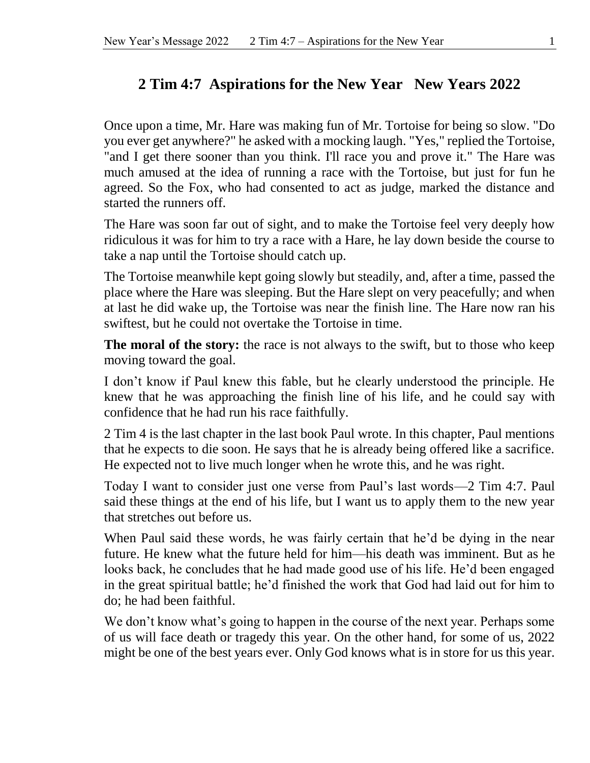## **2 Tim 4:7 Aspirations for the New Year New Years 2022**

Once upon a time, Mr. Hare was making fun of Mr. Tortoise for being so slow. "Do you ever get anywhere?" he asked with a mocking laugh. "Yes," replied the Tortoise, "and I get there sooner than you think. I'll race you and prove it." The Hare was much amused at the idea of running a race with the Tortoise, but just for fun he agreed. So the Fox, who had consented to act as judge, marked the distance and started the runners off.

The Hare was soon far out of sight, and to make the Tortoise feel very deeply how ridiculous it was for him to try a race with a Hare, he lay down beside the course to take a nap until the Tortoise should catch up.

The Tortoise meanwhile kept going slowly but steadily, and, after a time, passed the place where the Hare was sleeping. But the Hare slept on very peacefully; and when at last he did wake up, the Tortoise was near the finish line. The Hare now ran his swiftest, but he could not overtake the Tortoise in time.

**The moral of the story:** the race is not always to the swift, but to those who keep moving toward the goal.

I don't know if Paul knew this fable, but he clearly understood the principle. He knew that he was approaching the finish line of his life, and he could say with confidence that he had run his race faithfully.

2 Tim 4 is the last chapter in the last book Paul wrote. In this chapter, Paul mentions that he expects to die soon. He says that he is already being offered like a sacrifice. He expected not to live much longer when he wrote this, and he was right.

Today I want to consider just one verse from Paul's last words—2 Tim 4:7. Paul said these things at the end of his life, but I want us to apply them to the new year that stretches out before us.

When Paul said these words, he was fairly certain that he'd be dying in the near future. He knew what the future held for him—his death was imminent. But as he looks back, he concludes that he had made good use of his life. He'd been engaged in the great spiritual battle; he'd finished the work that God had laid out for him to do; he had been faithful.

We don't know what's going to happen in the course of the next year. Perhaps some of us will face death or tragedy this year. On the other hand, for some of us, 2022 might be one of the best years ever. Only God knows what is in store for us this year.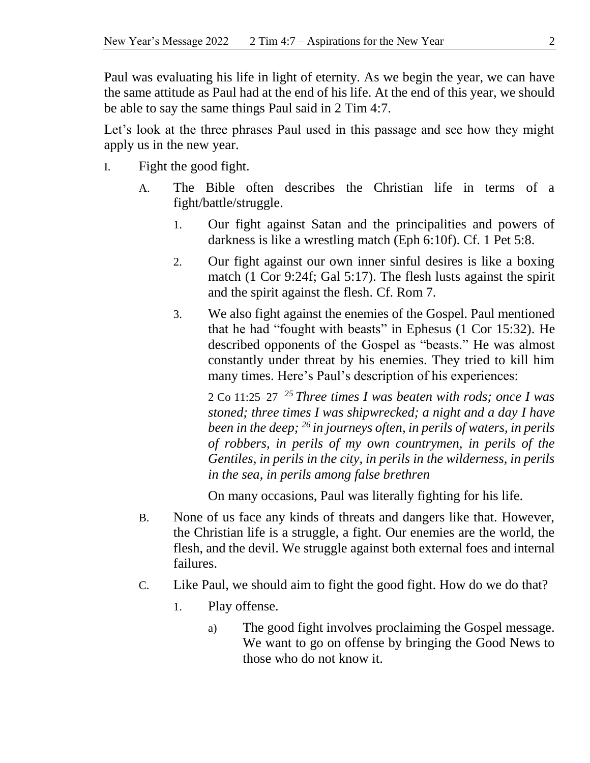Paul was evaluating his life in light of eternity. As we begin the year, we can have the same attitude as Paul had at the end of his life. At the end of this year, we should be able to say the same things Paul said in 2 Tim 4:7.

Let's look at the three phrases Paul used in this passage and see how they might apply us in the new year.

- I. Fight the good fight.
	- A. The Bible often describes the Christian life in terms of a fight/battle/struggle.
		- 1. Our fight against Satan and the principalities and powers of darkness is like a wrestling match (Eph 6:10f). Cf. 1 Pet 5:8.
		- 2. Our fight against our own inner sinful desires is like a boxing match (1 Cor 9:24f; Gal 5:17). The flesh lusts against the spirit and the spirit against the flesh. Cf. Rom 7.
		- 3. We also fight against the enemies of the Gospel. Paul mentioned that he had "fought with beasts" in Ephesus (1 Cor 15:32). He described opponents of the Gospel as "beasts." He was almost constantly under threat by his enemies. They tried to kill him many times. Here's Paul's description of his experiences:

2 Co 11:25–27 *<sup>25</sup> Three times I was beaten with rods; once I was stoned; three times I was shipwrecked; a night and a day I have been in the deep; <sup>26</sup> in journeys often, in perils of waters, in perils of robbers, in perils of my own countrymen, in perils of the Gentiles, in perils in the city, in perils in the wilderness, in perils in the sea, in perils among false brethren*

On many occasions, Paul was literally fighting for his life.

- B. None of us face any kinds of threats and dangers like that. However, the Christian life is a struggle, a fight. Our enemies are the world, the flesh, and the devil. We struggle against both external foes and internal failures.
- C. Like Paul, we should aim to fight the good fight. How do we do that?
	- 1. Play offense.
		- a) The good fight involves proclaiming the Gospel message. We want to go on offense by bringing the Good News to those who do not know it.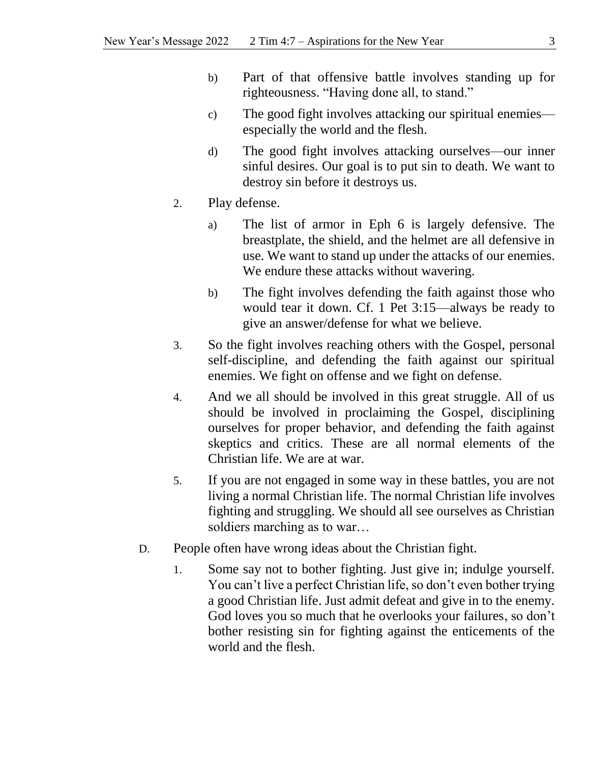- b) Part of that offensive battle involves standing up for righteousness. "Having done all, to stand."
- c) The good fight involves attacking our spiritual enemies especially the world and the flesh.
- d) The good fight involves attacking ourselves—our inner sinful desires. Our goal is to put sin to death. We want to destroy sin before it destroys us.
- 2. Play defense.
	- a) The list of armor in Eph 6 is largely defensive. The breastplate, the shield, and the helmet are all defensive in use. We want to stand up under the attacks of our enemies. We endure these attacks without wavering.
	- b) The fight involves defending the faith against those who would tear it down. Cf. 1 Pet 3:15—always be ready to give an answer/defense for what we believe.
- 3. So the fight involves reaching others with the Gospel, personal self-discipline, and defending the faith against our spiritual enemies. We fight on offense and we fight on defense.
- 4. And we all should be involved in this great struggle. All of us should be involved in proclaiming the Gospel, disciplining ourselves for proper behavior, and defending the faith against skeptics and critics. These are all normal elements of the Christian life. We are at war.
- 5. If you are not engaged in some way in these battles, you are not living a normal Christian life. The normal Christian life involves fighting and struggling. We should all see ourselves as Christian soldiers marching as to war…
- D. People often have wrong ideas about the Christian fight.
	- 1. Some say not to bother fighting. Just give in; indulge yourself. You can't live a perfect Christian life, so don't even bother trying a good Christian life. Just admit defeat and give in to the enemy. God loves you so much that he overlooks your failures, so don't bother resisting sin for fighting against the enticements of the world and the flesh.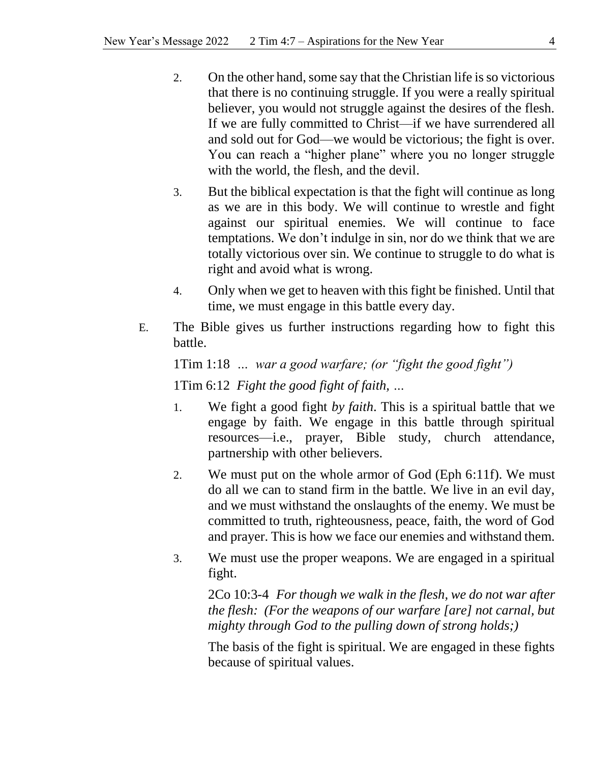- 2. On the other hand, some say that the Christian life is so victorious that there is no continuing struggle. If you were a really spiritual believer, you would not struggle against the desires of the flesh. If we are fully committed to Christ—if we have surrendered all and sold out for God—we would be victorious; the fight is over. You can reach a "higher plane" where you no longer struggle with the world, the flesh, and the devil.
- 3. But the biblical expectation is that the fight will continue as long as we are in this body. We will continue to wrestle and fight against our spiritual enemies. We will continue to face temptations. We don't indulge in sin, nor do we think that we are totally victorious over sin. We continue to struggle to do what is right and avoid what is wrong.
- 4. Only when we get to heaven with this fight be finished. Until that time, we must engage in this battle every day.
- E. The Bible gives us further instructions regarding how to fight this battle.

1Tim 1:18 *… war a good warfare; (or "fight the good fight")* 1Tim 6:12 *Fight the good fight of faith, …*

- 1. We fight a good fight *by faith*. This is a spiritual battle that we engage by faith. We engage in this battle through spiritual resources—i.e., prayer, Bible study, church attendance, partnership with other believers.
- 2. We must put on the whole armor of God (Eph 6:11f). We must do all we can to stand firm in the battle. We live in an evil day, and we must withstand the onslaughts of the enemy. We must be committed to truth, righteousness, peace, faith, the word of God and prayer. This is how we face our enemies and withstand them.
- 3. We must use the proper weapons. We are engaged in a spiritual fight.

2Co 10:3-4 *For though we walk in the flesh, we do not war after the flesh: (For the weapons of our warfare [are] not carnal, but mighty through God to the pulling down of strong holds;)*

The basis of the fight is spiritual. We are engaged in these fights because of spiritual values.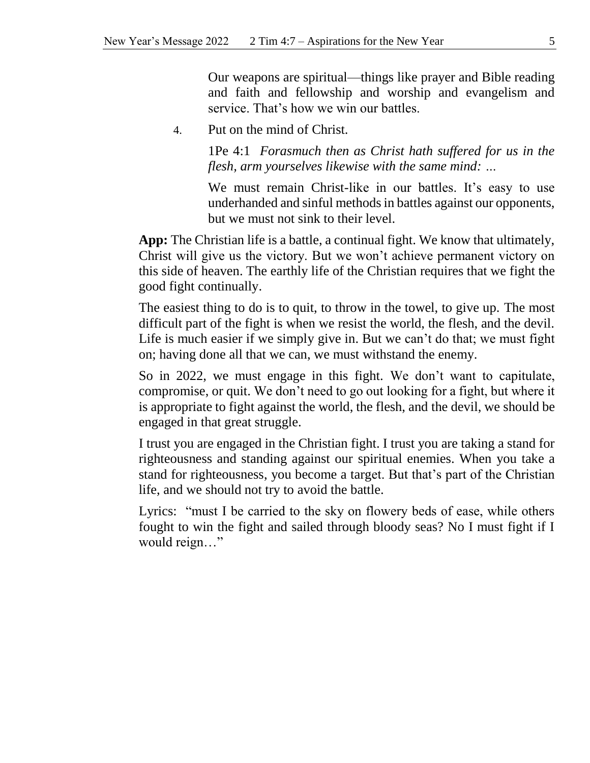Our weapons are spiritual—things like prayer and Bible reading and faith and fellowship and worship and evangelism and service. That's how we win our battles.

4. Put on the mind of Christ.

1Pe 4:1 *Forasmuch then as Christ hath suffered for us in the flesh, arm yourselves likewise with the same mind: …*

We must remain Christ-like in our battles. It's easy to use underhanded and sinful methods in battles against our opponents, but we must not sink to their level.

**App:** The Christian life is a battle, a continual fight. We know that ultimately, Christ will give us the victory. But we won't achieve permanent victory on this side of heaven. The earthly life of the Christian requires that we fight the good fight continually.

The easiest thing to do is to quit, to throw in the towel, to give up. The most difficult part of the fight is when we resist the world, the flesh, and the devil. Life is much easier if we simply give in. But we can't do that; we must fight on; having done all that we can, we must withstand the enemy.

So in 2022, we must engage in this fight. We don't want to capitulate, compromise, or quit. We don't need to go out looking for a fight, but where it is appropriate to fight against the world, the flesh, and the devil, we should be engaged in that great struggle.

I trust you are engaged in the Christian fight. I trust you are taking a stand for righteousness and standing against our spiritual enemies. When you take a stand for righteousness, you become a target. But that's part of the Christian life, and we should not try to avoid the battle.

Lyrics: "must I be carried to the sky on flowery beds of ease, while others fought to win the fight and sailed through bloody seas? No I must fight if I would reign…"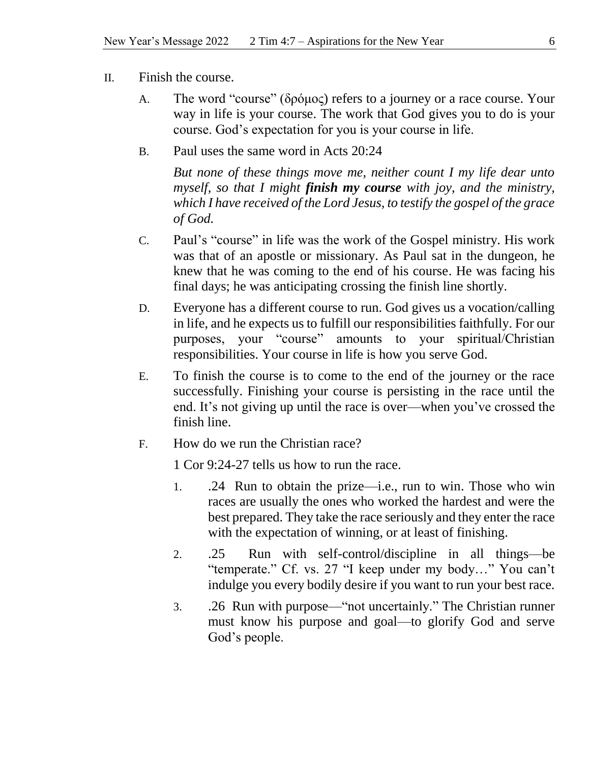- II. Finish the course.
	- A. The word "course" (δρόμος) refers to a journey or a race course. Your way in life is your course. The work that God gives you to do is your course. God's expectation for you is your course in life.
	- B. Paul uses the same word in Acts 20:24

*But none of these things move me, neither count I my life dear unto myself, so that I might finish my course with joy, and the ministry, which I have received of the Lord Jesus, to testify the gospel of the grace of God.*

- C. Paul's "course" in life was the work of the Gospel ministry. His work was that of an apostle or missionary. As Paul sat in the dungeon, he knew that he was coming to the end of his course. He was facing his final days; he was anticipating crossing the finish line shortly.
- D. Everyone has a different course to run. God gives us a vocation/calling in life, and he expects us to fulfill our responsibilities faithfully. For our purposes, your "course" amounts to your spiritual/Christian responsibilities. Your course in life is how you serve God.
- E. To finish the course is to come to the end of the journey or the race successfully. Finishing your course is persisting in the race until the end. It's not giving up until the race is over—when you've crossed the finish line.
- F. How do we run the Christian race?

1 Cor 9:24-27 tells us how to run the race.

- 1. .24 Run to obtain the prize—i.e., run to win. Those who win races are usually the ones who worked the hardest and were the best prepared. They take the race seriously and they enter the race with the expectation of winning, or at least of finishing.
- 2. .25 Run with self-control/discipline in all things—be "temperate." Cf. vs. 27 "I keep under my body…" You can't indulge you every bodily desire if you want to run your best race.
- 3. .26 Run with purpose—"not uncertainly." The Christian runner must know his purpose and goal—to glorify God and serve God's people.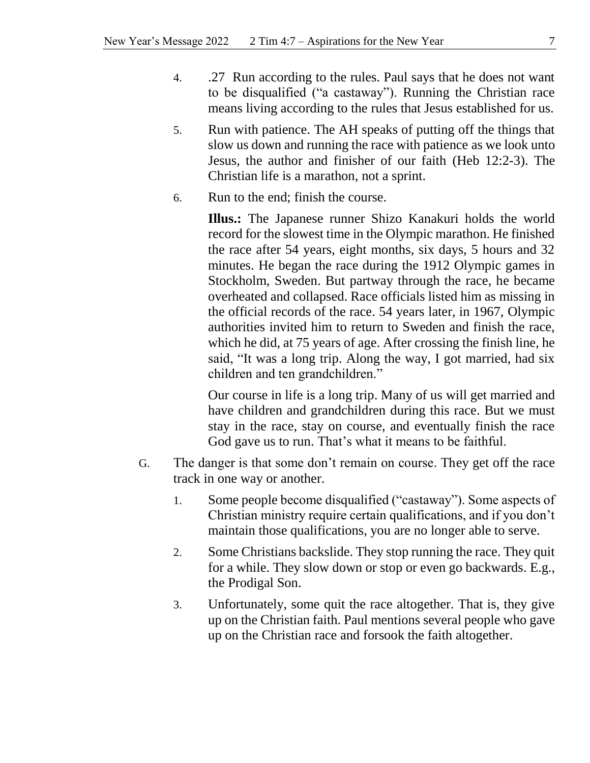- 4. .27 Run according to the rules. Paul says that he does not want to be disqualified ("a castaway"). Running the Christian race means living according to the rules that Jesus established for us.
- 5. Run with patience. The AH speaks of putting off the things that slow us down and running the race with patience as we look unto Jesus, the author and finisher of our faith (Heb 12:2-3). The Christian life is a marathon, not a sprint.
- 6. Run to the end; finish the course.

**Illus.:** The Japanese runner Shizo Kanakuri holds the world record for the slowest time in the Olympic marathon. He finished the race after 54 years, eight months, six days, 5 hours and 32 minutes. He began the race during the 1912 Olympic games in Stockholm, Sweden. But partway through the race, he became overheated and collapsed. Race officials listed him as missing in the official records of the race. 54 years later, in 1967, Olympic authorities invited him to return to Sweden and finish the race, which he did, at 75 years of age. After crossing the finish line, he said, "It was a long trip. Along the way, I got married, had six children and ten grandchildren."

Our course in life is a long trip. Many of us will get married and have children and grandchildren during this race. But we must stay in the race, stay on course, and eventually finish the race God gave us to run. That's what it means to be faithful.

- G. The danger is that some don't remain on course. They get off the race track in one way or another.
	- 1. Some people become disqualified ("castaway"). Some aspects of Christian ministry require certain qualifications, and if you don't maintain those qualifications, you are no longer able to serve.
	- 2. Some Christians backslide. They stop running the race. They quit for a while. They slow down or stop or even go backwards. E.g., the Prodigal Son.
	- 3. Unfortunately, some quit the race altogether. That is, they give up on the Christian faith. Paul mentions several people who gave up on the Christian race and forsook the faith altogether.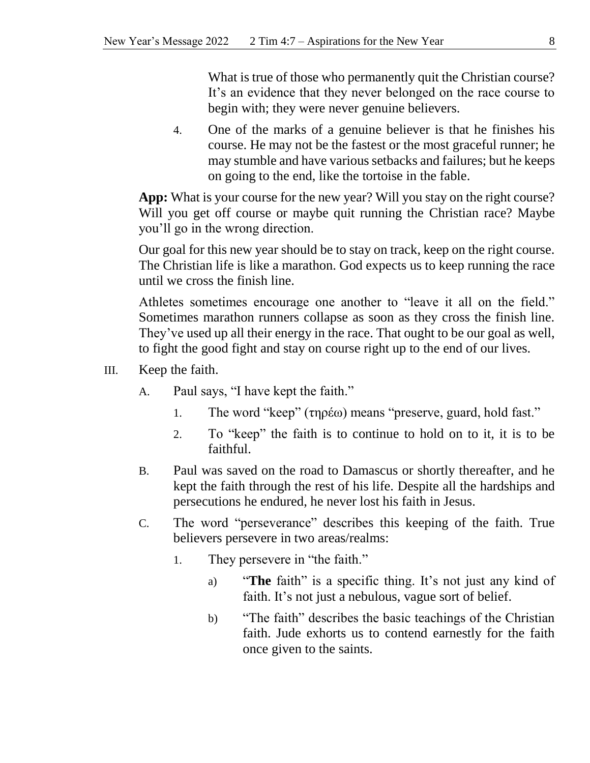What is true of those who permanently quit the Christian course? It's an evidence that they never belonged on the race course to begin with; they were never genuine believers.

4. One of the marks of a genuine believer is that he finishes his course. He may not be the fastest or the most graceful runner; he may stumble and have various setbacks and failures; but he keeps on going to the end, like the tortoise in the fable.

**App:** What is your course for the new year? Will you stay on the right course? Will you get off course or maybe quit running the Christian race? Maybe you'll go in the wrong direction.

Our goal for this new year should be to stay on track, keep on the right course. The Christian life is like a marathon. God expects us to keep running the race until we cross the finish line.

Athletes sometimes encourage one another to "leave it all on the field." Sometimes marathon runners collapse as soon as they cross the finish line. They've used up all their energy in the race. That ought to be our goal as well, to fight the good fight and stay on course right up to the end of our lives.

- III. Keep the faith.
	- A. Paul says, "I have kept the faith."
		- 1. The word "keep" (τηρέω) means "preserve, guard, hold fast."
		- 2. To "keep" the faith is to continue to hold on to it, it is to be faithful.
	- B. Paul was saved on the road to Damascus or shortly thereafter, and he kept the faith through the rest of his life. Despite all the hardships and persecutions he endured, he never lost his faith in Jesus.
	- C. The word "perseverance" describes this keeping of the faith. True believers persevere in two areas/realms:
		- 1. They persevere in "the faith."
			- a) "**The** faith" is a specific thing. It's not just any kind of faith. It's not just a nebulous, vague sort of belief.
			- b) "The faith" describes the basic teachings of the Christian faith. Jude exhorts us to contend earnestly for the faith once given to the saints.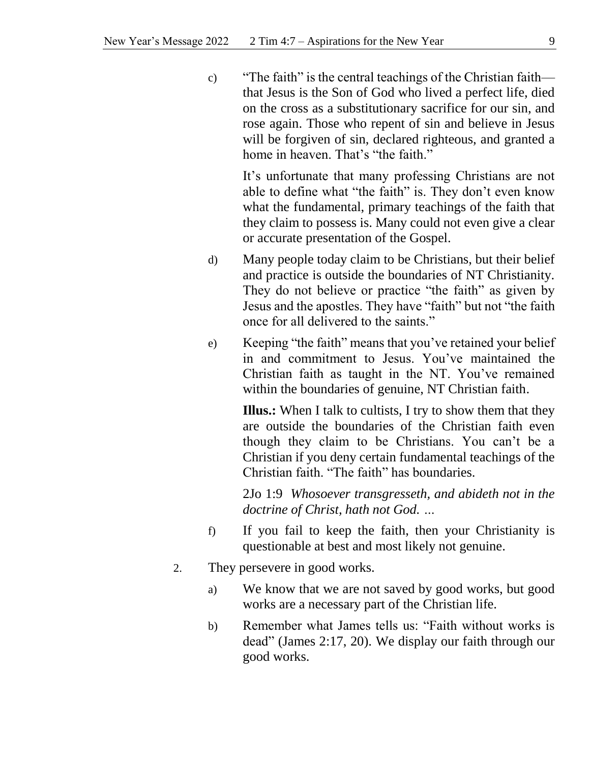c) "The faith" is the central teachings of the Christian faith that Jesus is the Son of God who lived a perfect life, died on the cross as a substitutionary sacrifice for our sin, and rose again. Those who repent of sin and believe in Jesus will be forgiven of sin, declared righteous, and granted a home in heaven. That's "the faith."

It's unfortunate that many professing Christians are not able to define what "the faith" is. They don't even know what the fundamental, primary teachings of the faith that they claim to possess is. Many could not even give a clear or accurate presentation of the Gospel.

- d) Many people today claim to be Christians, but their belief and practice is outside the boundaries of NT Christianity. They do not believe or practice "the faith" as given by Jesus and the apostles. They have "faith" but not "the faith once for all delivered to the saints."
- e) Keeping "the faith" means that you've retained your belief in and commitment to Jesus. You've maintained the Christian faith as taught in the NT. You've remained within the boundaries of genuine, NT Christian faith.

**Illus.:** When I talk to cultists, I try to show them that they are outside the boundaries of the Christian faith even though they claim to be Christians. You can't be a Christian if you deny certain fundamental teachings of the Christian faith. "The faith" has boundaries.

2Jo 1:9 *Whosoever transgresseth, and abideth not in the doctrine of Christ, hath not God. …*

- f) If you fail to keep the faith, then your Christianity is questionable at best and most likely not genuine.
- 2. They persevere in good works.
	- a) We know that we are not saved by good works, but good works are a necessary part of the Christian life.
	- b) Remember what James tells us: "Faith without works is dead" (James 2:17, 20). We display our faith through our good works.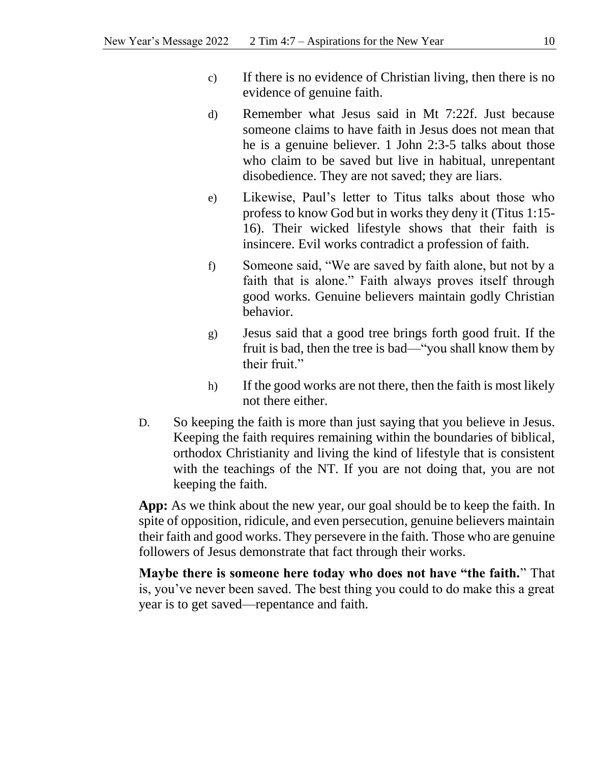- c) If there is no evidence of Christian living, then there is no evidence of genuine faith.
- d) Remember what Jesus said in Mt 7:22f. Just because someone claims to have faith in Jesus does not mean that he is a genuine believer. 1 John 2:3-5 talks about those who claim to be saved but live in habitual, unrepentant disobedience. They are not saved; they are liars.
- e) Likewise, Paul's letter to Titus talks about those who profess to know God but in works they deny it (Titus 1:15- 16). Their wicked lifestyle shows that their faith is insincere. Evil works contradict a profession of faith.
- f) Someone said, "We are saved by faith alone, but not by a faith that is alone." Faith always proves itself through good works. Genuine believers maintain godly Christian behavior.
- g) Jesus said that a good tree brings forth good fruit. If the fruit is bad, then the tree is bad—"you shall know them by their fruit."
- h) If the good works are not there, then the faith is most likely not there either.
- D. So keeping the faith is more than just saying that you believe in Jesus. Keeping the faith requires remaining within the boundaries of biblical, orthodox Christianity and living the kind of lifestyle that is consistent with the teachings of the NT. If you are not doing that, you are not keeping the faith.

**App:** As we think about the new year, our goal should be to keep the faith. In spite of opposition, ridicule, and even persecution, genuine believers maintain their faith and good works. They persevere in the faith. Those who are genuine followers of Jesus demonstrate that fact through their works.

**Maybe there is someone here today who does not have "the faith.**" That is, you've never been saved. The best thing you could to do make this a great year is to get saved—repentance and faith.